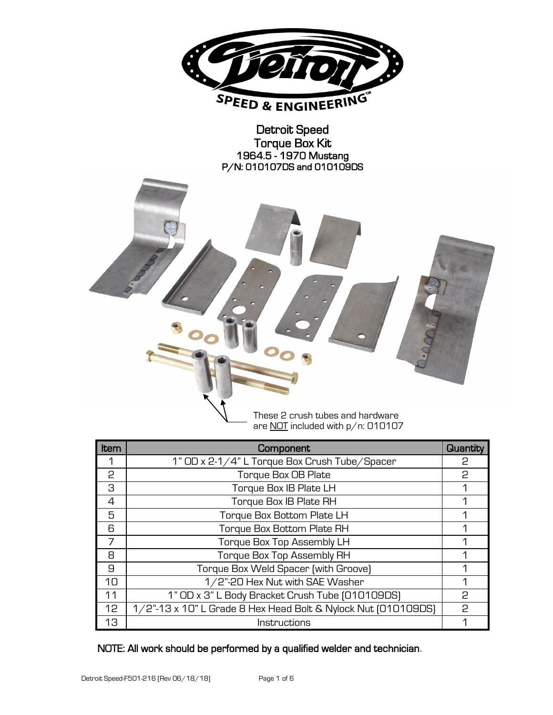

Detroit Speed Torque Box Kit 1964.5 - 1970 Mustang P/N: 010107DS and 010109DS



are NOT included with p/n: 010107

| Item | Component                                                     | <b>Quantity</b> |
|------|---------------------------------------------------------------|-----------------|
|      | 1" OD x 2-1/4" L Torque Box Crush Tube/Spacer                 | 2               |
| 2    | Torque Box OB Plate                                           | 2               |
| З    | Torque Box IB Plate LH                                        | 1               |
| 4    | Torque Box IB Plate RH                                        | 1               |
| 5    | Torque Box Bottom Plate LH                                    |                 |
| 6    | Torque Box Bottom Plate RH                                    | 1               |
| 7    | Torque Box Top Assembly LH                                    | 1               |
| 8    | Torque Box Top Assembly RH                                    |                 |
| 9    | Torque Box Weld Spacer (with Groove)                          | 1               |
| 10   | 1/2"-20 Hex Nut with SAE Washer                               | 1               |
| 11   | 1" OD x 3" L Body Bracket Crush Tube [010109DS]               | P               |
| 12   | 1/2"-13 x 10" L Grade 8 Hex Head Bolt & Nylock Nut [010109DS] | P               |
| 13   | Instructions                                                  |                 |

NOTE: All work should be performed by a qualified welder and technician.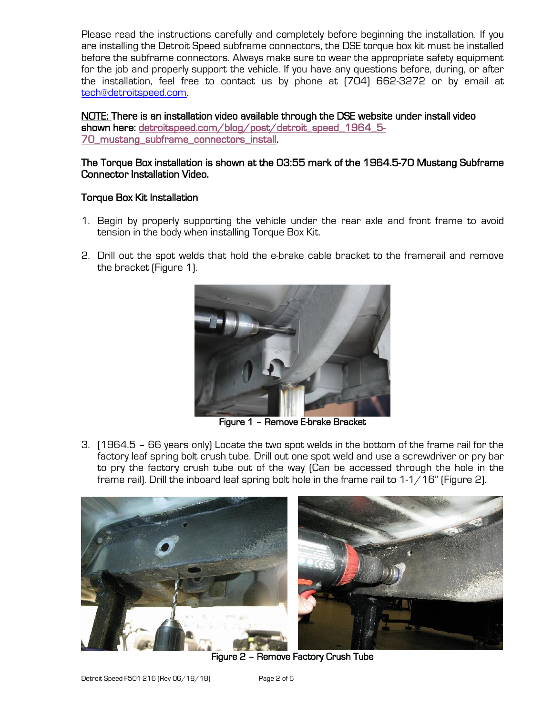Please read the instructions carefully and completely before beginning the installation. If you are installing the Detroit Speed subframe connectors, the DSE torque box kit must be installed before the subframe connectors. Always make sure to wear the appropriate safety equipment for the job and properly support the vehicle. If you have any questions before, during, or after the installation, feel free to contact us by phone at (704) 662-3272 or by email at [tech@detroitspeed.com.](mailto:tech@detroitspeed.com)

NOTE: There is an installation video available through the DSE website under install video shown here: [detroitspeed.com/blog/post/detroit\\_speed\\_1964\\_5-](https://www.detroitspeed.com/blog/post/detroit_speed_1964_5-70_mustang_subframe_connectors_install/) [70\\_mustang\\_subframe\\_connectors\\_install.](https://www.detroitspeed.com/blog/post/detroit_speed_1964_5-70_mustang_subframe_connectors_install/)

## The Torque Box installation is shown at the 03:55 mark of the 1964.5-70 Mustang Subframe Connector Installation Video.

## Torque Box Kit Installation

- 1. Begin by properly supporting the vehicle under the rear axle and front frame to avoid tension in the body when installing Torque Box Kit.
- 2. Drill out the spot welds that hold the e-brake cable bracket to the framerail and remove the bracket (Figure 1).



Figure 1 – Remove E-brake Bracket

3. (1964.5 – 66 years only) Locate the two spot welds in the bottom of the frame rail for the factory leaf spring bolt crush tube. Drill out one spot weld and use a screwdriver or pry bar to pry the factory crush tube out of the way (Can be accessed through the hole in the frame rail). Drill the inboard leaf spring bolt hole in the frame rail to 1-1/16" (Figure 2).



Figure 2 – Remove Factory Crush Tube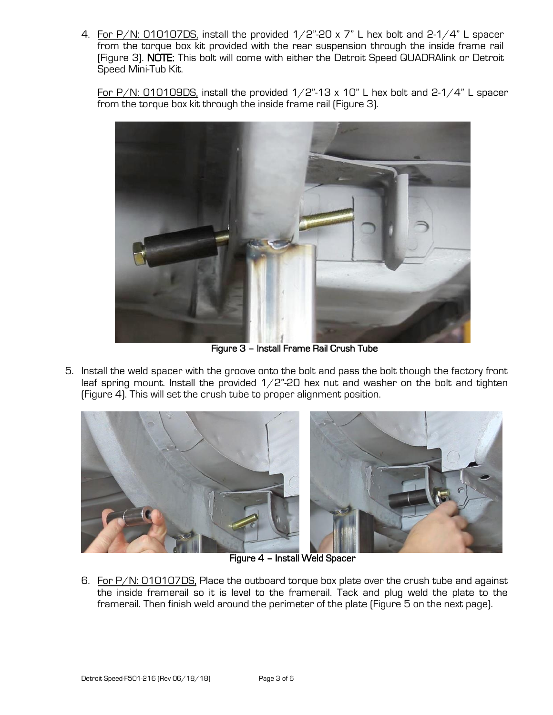4. For  $P/N$ : 010107DS, install the provided  $1/2$ "-20 x 7" L hex bolt and 2-1/4" L spacer from the torque box kit provided with the rear suspension through the inside frame rail (Figure 3). NOTE: This bolt will come with either the Detroit Speed QUADRAlink or Detroit Speed Mini-Tub Kit.

For P/N: 010109DS, install the provided  $1/2$ "-13 x 10" L hex bolt and 2-1/4" L spacer from the torque box kit through the inside frame rail (Figure 3).



Figure 3 – Install Frame Rail Crush Tube

5. Install the weld spacer with the groove onto the bolt and pass the bolt though the factory front leaf spring mount. Install the provided  $1/2$ "-20 hex nut and washer on the bolt and tighten (Figure 4). This will set the crush tube to proper alignment position.



Figure 4 – Install Weld Spacer

6. For P/N: 010107DS, Place the outboard torque box plate over the crush tube and against the inside framerail so it is level to the framerail. Tack and plug weld the plate to the framerail. Then finish weld around the perimeter of the plate (Figure 5 on the next page).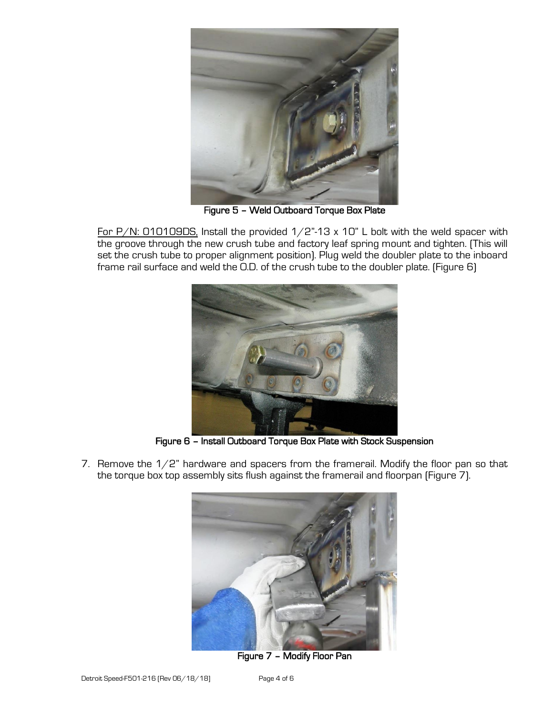

Figure 5 – Weld Outboard Torque Box Plate

For  $P/N$ : 010109DS, Install the provided  $1/2$ "-13 x 10" L bolt with the weld spacer with the groove through the new crush tube and factory leaf spring mount and tighten. (This will set the crush tube to proper alignment position). Plug weld the doubler plate to the inboard frame rail surface and weld the O.D. of the crush tube to the doubler plate. (Figure 6)



Figure 6 – Install Outboard Torque Box Plate with Stock Suspension

7. Remove the 1/2" hardware and spacers from the framerail. Modify the floor pan so that the torque box top assembly sits flush against the framerail and floorpan (Figure 7).



Figure 7 – Modify Floor Pan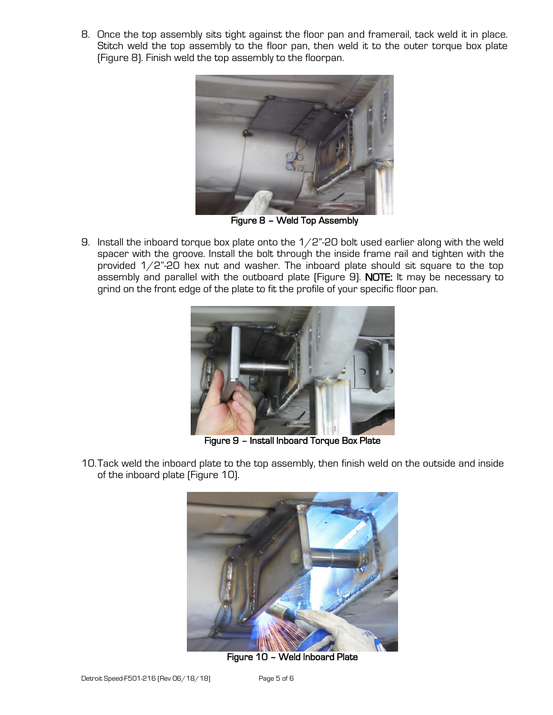8. Once the top assembly sits tight against the floor pan and framerail, tack weld it in place. Stitch weld the top assembly to the floor pan, then weld it to the outer torque box plate (Figure 8). Finish weld the top assembly to the floorpan.



Figure 8 – Weld Top Assembly

9. Install the inboard torque box plate onto the  $1/2$ "-20 bolt used earlier along with the weld spacer with the groove. Install the bolt through the inside frame rail and tighten with the provided 1/2"-20 hex nut and washer. The inboard plate should sit square to the top assembly and parallel with the outboard plate (Figure 9). NOTE: It may be necessary to grind on the front edge of the plate to fit the profile of your specific floor pan.



Figure 9 – Install Inboard Torque Box Plate

10.Tack weld the inboard plate to the top assembly, then finish weld on the outside and inside of the inboard plate (Figure 10).



Figure 10 – Weld Inboard Plate